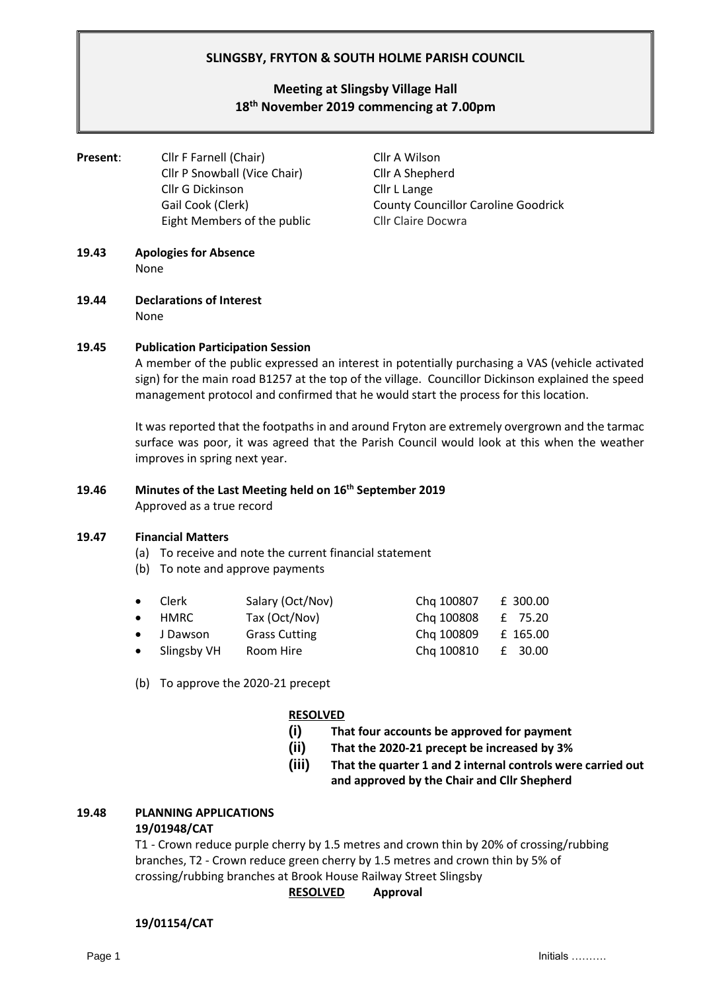## **SLINGSBY, FRYTON & SOUTH HOLME PARISH COUNCIL**

# **Meeting at Slingsby Village Hall 18 th November 2019 commencing at 7.00pm**

**Present:** Cllr F Farnell (Chair) Cllr A Wilson Cllr P Snowball (Vice Chair) Cllr A Shepherd Cllr G Dickinson Cllr L Lange Eight Members of the public Cllr Claire Docwra

Gail Cook (Clerk) County Councillor Caroline Goodrick

- **19.43 Apologies for Absence** None
- **19.44 Declarations of Interest** None

## **19.45 Publication Participation Session**

A member of the public expressed an interest in potentially purchasing a VAS (vehicle activated sign) for the main road B1257 at the top of the village. Councillor Dickinson explained the speed management protocol and confirmed that he would start the process for this location.

It was reported that the footpaths in and around Fryton are extremely overgrown and the tarmac surface was poor, it was agreed that the Parish Council would look at this when the weather improves in spring next year.

#### **19.46 Minutes of the Last Meeting held on 16 th September 2019** Approved as a true record

## **19.47 Financial Matters**

- (a) To receive and note the current financial statement
- (b) To note and approve payments

| $\bullet$ Clerk | Salary (Oct/Nov)     | Chg 100807 | £ 300.00 |
|-----------------|----------------------|------------|----------|
| $\bullet$ HMRC  | Tax (Oct/Nov)        | Chg 100808 | £ 75.20  |
| • J Dawson      | <b>Grass Cutting</b> | Chg 100809 | £ 165.00 |
| • Slingsby VH   | Room Hire            | Chg 100810 | £ 30.00  |

(b) To approve the 2020-21 precept

## **RESOLVED**

- **(i) That four accounts be approved for payment**
- **(ii) That the 2020-21 precept be increased by 3%**
- **(iii) That the quarter 1 and 2 internal controls were carried out and approved by the Chair and Cllr Shepherd**

## **19.48 PLANNING APPLICATIONS**

## **19/01948/CAT**

T1 - Crown reduce purple cherry by 1.5 metres and crown thin by 20% of crossing/rubbing branches, T2 - Crown reduce green cherry by 1.5 metres and crown thin by 5% of crossing/rubbing branches at Brook House Railway Street Slingsby

## **RESOLVED Approval**

## **19/01154/CAT**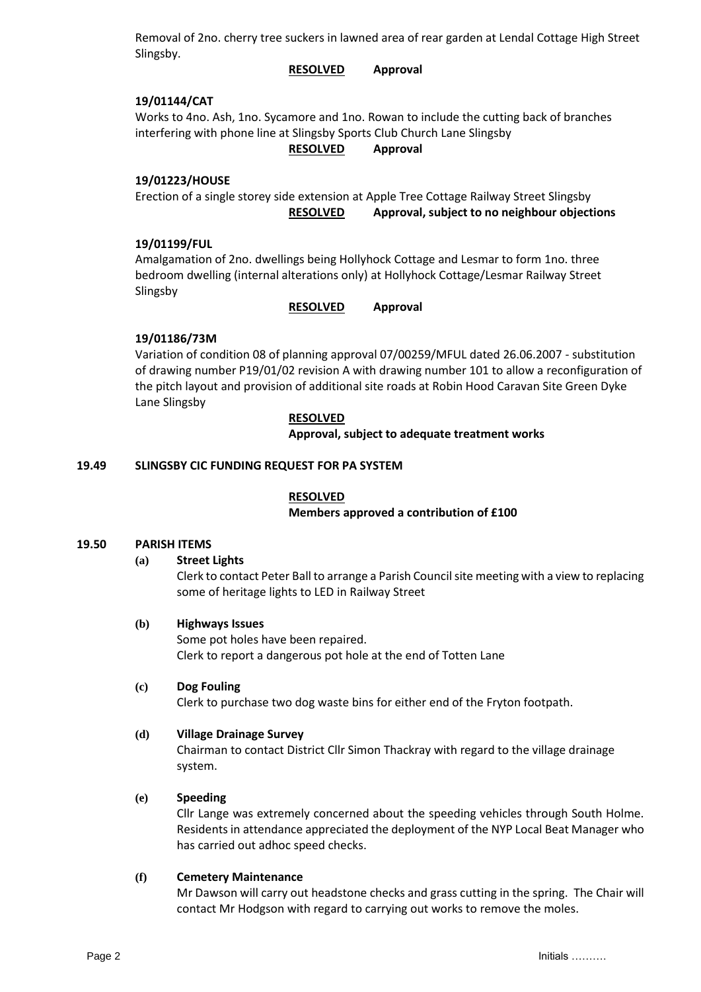Removal of 2no. cherry tree suckers in lawned area of rear garden at Lendal Cottage High Street Slingsby.

**RESOLVED Approval**

## **19/01144/CAT**

Works to 4no. Ash, 1no. Sycamore and 1no. Rowan to include the cutting back of branches interfering with phone line at Slingsby Sports Club Church Lane Slingsby

## **RESOLVED Approval**

## **19/01223/HOUSE**

Erection of a single storey side extension at Apple Tree Cottage Railway Street Slingsby **RESOLVED Approval, subject to no neighbour objections**

## **19/01199/FUL**

Amalgamation of 2no. dwellings being Hollyhock Cottage and Lesmar to form 1no. three bedroom dwelling (internal alterations only) at Hollyhock Cottage/Lesmar Railway Street Slingsby

## **RESOLVED Approval**

## **19/01186/73M**

Variation of condition 08 of planning approval 07/00259/MFUL dated 26.06.2007 - substitution of drawing number P19/01/02 revision A with drawing number 101 to allow a reconfiguration of the pitch layout and provision of additional site roads at Robin Hood Caravan Site Green Dyke Lane Slingsby

## **RESOLVED**

**Approval, subject to adequate treatment works** 

## **19.49 SLINGSBY CIC FUNDING REQUEST FOR PA SYSTEM**

## **RESOLVED**

## **Members approved a contribution of £100**

## **19.50 PARISH ITEMS**

## **(a) Street Lights**

Clerk to contact Peter Ball to arrange a Parish Council site meeting with a view to replacing some of heritage lights to LED in Railway Street

## **(b) Highways Issues**

Some pot holes have been repaired. Clerk to report a dangerous pot hole at the end of Totten Lane

## **(c) Dog Fouling**

Clerk to purchase two dog waste bins for either end of the Fryton footpath.

## **(d) Village Drainage Survey**

Chairman to contact District Cllr Simon Thackray with regard to the village drainage system.

## **(e) Speeding**

Cllr Lange was extremely concerned about the speeding vehicles through South Holme. Residents in attendance appreciated the deployment of the NYP Local Beat Manager who has carried out adhoc speed checks.

## **(f) Cemetery Maintenance**

Mr Dawson will carry out headstone checks and grass cutting in the spring. The Chair will contact Mr Hodgson with regard to carrying out works to remove the moles.